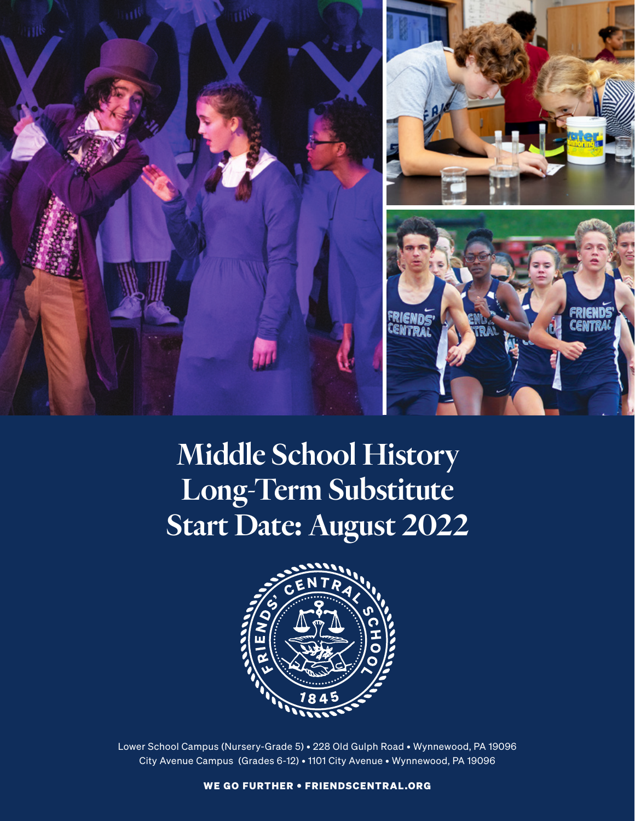

# Middle School History Long-Term Substitute Start Date: August 2022



Lower School Campus (Nursery-Grade 5) • 228 Old Gulph Road • Wynnewood, PA 19096 City Avenue Campus (Grades 6-12) • 1101 City Avenue • Wynnewood, PA 19096

WE GO FURTHER • FRIENDSCENTRAL.ORG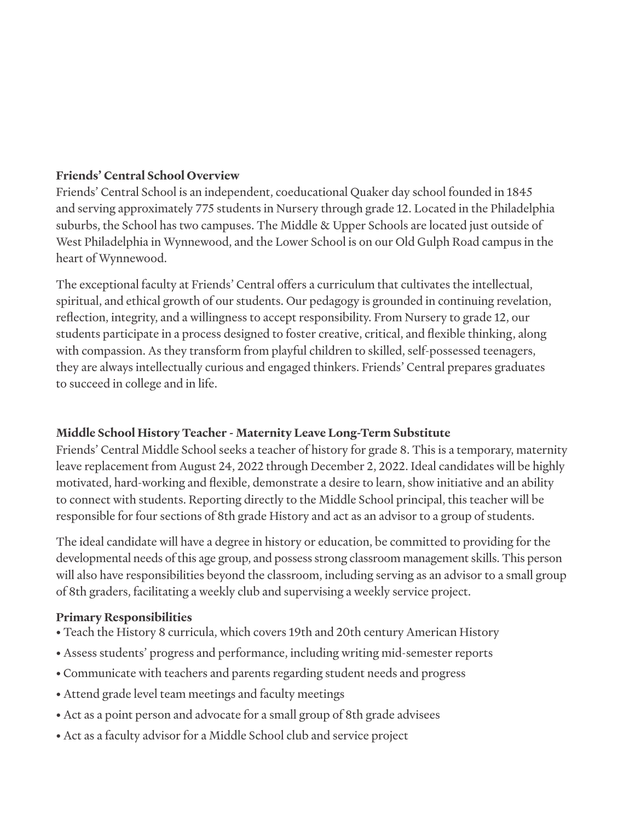## **Friends' Central School Overview**

Friends' Central School is an independent, coeducational Quaker day school founded in 1845 and serving approximately 775 students in Nursery through grade 12. Located in the Philadelphia suburbs, the School has two campuses. The Middle & Upper Schools are located just outside of West Philadelphia in Wynnewood, and the Lower School is on our Old Gulph Road campus in the heart of Wynnewood.

The exceptional faculty at Friends' Central offers a curriculum that cultivates the intellectual, spiritual, and ethical growth of our students. Our pedagogy is grounded in continuing revelation, reflection, integrity, and a willingness to accept responsibility. From Nursery to grade 12, our students participate in a process designed to foster creative, critical, and flexible thinking, along with compassion. As they transform from playful children to skilled, self-possessed teenagers, they are always intellectually curious and engaged thinkers. Friends' Central prepares graduates to succeed in college and in life.

## **Middle School History Teacher - Maternity Leave Long-Term Substitute**

Friends' Central Middle School seeks a teacher of history for grade 8. This is a temporary, maternity leave replacement from August 24, 2022 through December 2, 2022. Ideal candidates will be highly motivated, hard-working and flexible, demonstrate a desire to learn, show initiative and an ability to connect with students. Reporting directly to the Middle School principal, this teacher will be responsible for four sections of 8th grade History and act as an advisor to a group of students.

The ideal candidate will have a degree in history or education, be committed to providing for the developmental needs of this age group, and possess strong classroom management skills. This person will also have responsibilities beyond the classroom, including serving as an advisor to a small group of 8th graders, facilitating a weekly club and supervising a weekly service project.

### **Primary Responsibilities**

- Teach the History 8 curricula, which covers 19th and 20th century American History
- Assess students' progress and performance, including writing mid-semester reports
- Communicate with teachers and parents regarding student needs and progress
- Attend grade level team meetings and faculty meetings
- Act as a point person and advocate for a small group of 8th grade advisees
- Act as a faculty advisor for a Middle School club and service project